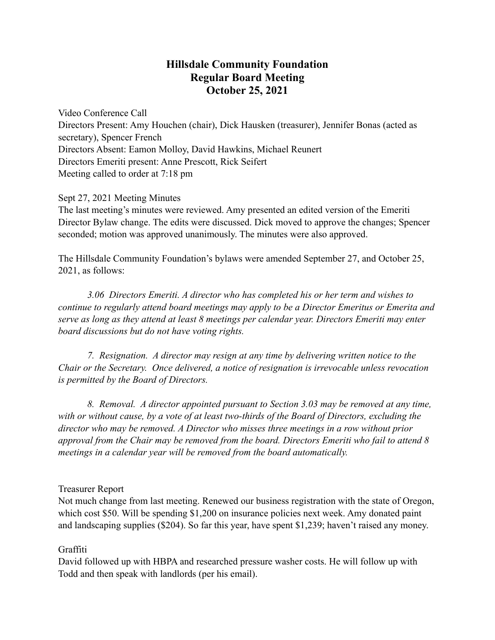# **Hillsdale Community Foundation Regular Board Meeting October 25, 2021**

Video Conference Call Directors Present: Amy Houchen (chair), Dick Hausken (treasurer), Jennifer Bonas (acted as secretary), Spencer French Directors Absent: Eamon Molloy, David Hawkins, Michael Reunert Directors Emeriti present: Anne Prescott, Rick Seifert Meeting called to order at 7:18 pm

Sept 27, 2021 Meeting Minutes

The last meeting's minutes were reviewed. Amy presented an edited version of the Emeriti Director Bylaw change. The edits were discussed. Dick moved to approve the changes; Spencer seconded; motion was approved unanimously. The minutes were also approved.

The Hillsdale Community Foundation's bylaws were amended September 27, and October 25, 2021, as follows:

*3.06 Directors Emeriti. A director who has completed his or her term and wishes to continue to regularly attend board meetings may apply to be a Director Emeritus or Emerita and serve as long as they attend at least 8 meetings per calendar year. Directors Emeriti may enter board discussions but do not have voting rights.*

*7. Resignation. A director may resign at any time by delivering written notice to the Chair or the Secretary. Once delivered, a notice of resignation is irrevocable unless revocation is permitted by the Board of Directors.*

*8. Removal. A director appointed pursuant to Section 3.03 may be removed at any time, with or without cause, by a vote of at least two-thirds of the Board of Directors, excluding the director who may be removed. A Director who misses three meetings in a row without prior approval from the Chair may be removed from the board. Directors Emeriti who fail to attend 8 meetings in a calendar year will be removed from the board automatically.*

# Treasurer Report

Not much change from last meeting. Renewed our business registration with the state of Oregon, which cost \$50. Will be spending \$1,200 on insurance policies next week. Amy donated paint and landscaping supplies (\$204). So far this year, have spent \$1,239; haven't raised any money.

# Graffiti

David followed up with HBPA and researched pressure washer costs. He will follow up with Todd and then speak with landlords (per his email).